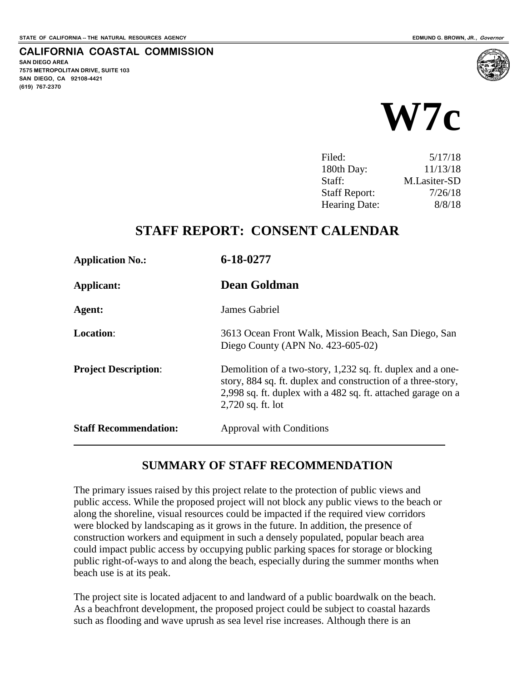**SAN DIEGO AREA**

**(619) 767-2370**

**7575 METROPOLITAN DRIVE, SUITE 103 SAN DIEGO, CA 92108-4421**

**CALIFORNIA COASTAL COMMISSION**



| Filed:               | 5/17/18      |
|----------------------|--------------|
| 180th Day:           | 11/13/18     |
| Staff:               | M.Lasiter-SD |
| <b>Staff Report:</b> | 7/26/18      |
| <b>Hearing Date:</b> | 8/8/18       |
|                      |              |

# **STAFF REPORT: CONSENT CALENDAR**

| <b>Application No.:</b>      | 6-18-0277                                                                                                                                                                                                         |
|------------------------------|-------------------------------------------------------------------------------------------------------------------------------------------------------------------------------------------------------------------|
| Applicant:                   | <b>Dean Goldman</b>                                                                                                                                                                                               |
| Agent:                       | James Gabriel                                                                                                                                                                                                     |
| <b>Location:</b>             | 3613 Ocean Front Walk, Mission Beach, San Diego, San<br>Diego County (APN No. $423-605-02$ )                                                                                                                      |
| <b>Project Description:</b>  | Demolition of a two-story, 1,232 sq. ft. duplex and a one-<br>story, 884 sq. ft. duplex and construction of a three-story,<br>2,998 sq. ft. duplex with a 482 sq. ft. attached garage on a<br>$2,720$ sq. ft. lot |
| <b>Staff Recommendation:</b> | <b>Approval with Conditions</b>                                                                                                                                                                                   |

### **SUMMARY OF STAFF RECOMMENDATION**

The primary issues raised by this project relate to the protection of public views and public access. While the proposed project will not block any public views to the beach or along the shoreline, visual resources could be impacted if the required view corridors were blocked by landscaping as it grows in the future. In addition, the presence of construction workers and equipment in such a densely populated, popular beach area could impact public access by occupying public parking spaces for storage or blocking public right-of-ways to and along the beach, especially during the summer months when beach use is at its peak.

The project site is located adjacent to and landward of a public boardwalk on the beach. As a beachfront development, the proposed project could be subject to coastal hazards such as flooding and wave uprush as sea level rise increases. Although there is an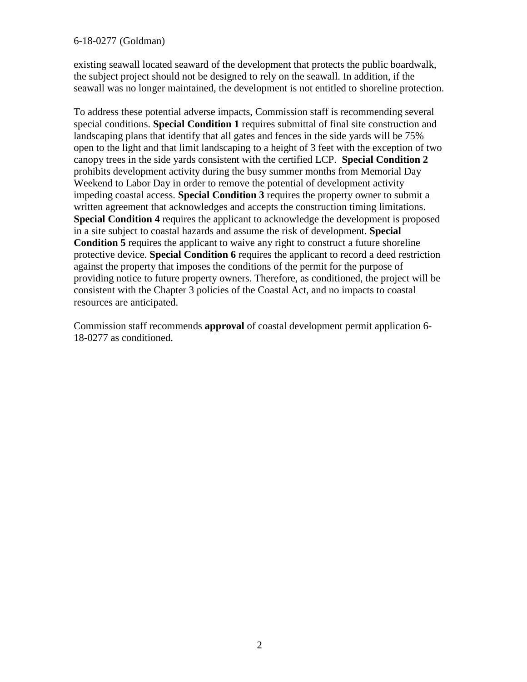existing seawall located seaward of the development that protects the public boardwalk, the subject project should not be designed to rely on the seawall. In addition, if the seawall was no longer maintained, the development is not entitled to shoreline protection.

To address these potential adverse impacts, Commission staff is recommending several special conditions. **Special Condition 1** requires submittal of final site construction and landscaping plans that identify that all gates and fences in the side yards will be 75% open to the light and that limit landscaping to a height of 3 feet with the exception of two canopy trees in the side yards consistent with the certified LCP. **Special Condition 2** prohibits development activity during the busy summer months from Memorial Day Weekend to Labor Day in order to remove the potential of development activity impeding coastal access. **Special Condition 3** requires the property owner to submit a written agreement that acknowledges and accepts the construction timing limitations. **Special Condition 4** requires the applicant to acknowledge the development is proposed in a site subject to coastal hazards and assume the risk of development. **Special Condition 5** requires the applicant to waive any right to construct a future shoreline protective device. **Special Condition 6** requires the applicant to record a deed restriction against the property that imposes the conditions of the permit for the purpose of providing notice to future property owners. Therefore, as conditioned, the project will be consistent with the Chapter 3 policies of the Coastal Act, and no impacts to coastal resources are anticipated.

Commission staff recommends **approval** of coastal development permit application 6- 18-0277 as conditioned.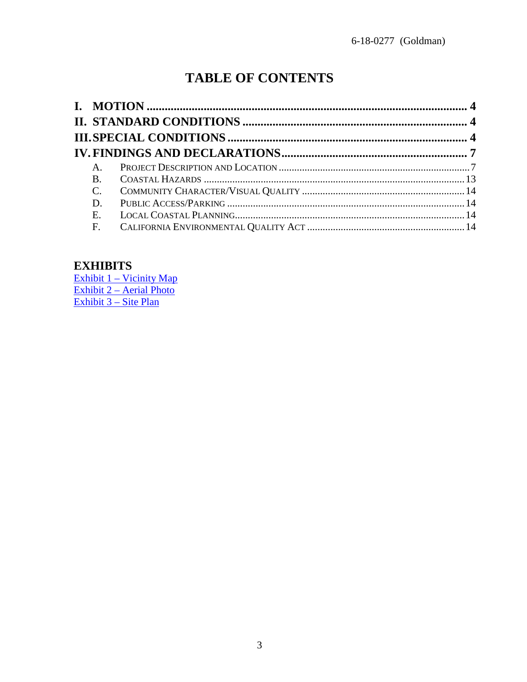# **TABLE OF CONTENTS**

| $A_{\cdot}$    |  |
|----------------|--|
| B.             |  |
| $\mathbf{C}$ . |  |
| D.             |  |
| E.             |  |
| $F_{\cdot}$    |  |

### **EXHIBITS**

Exhibit 1 - Vicinity Map Exhibit 2 – Aerial Photo<br>Exhibit 3 – Site Plan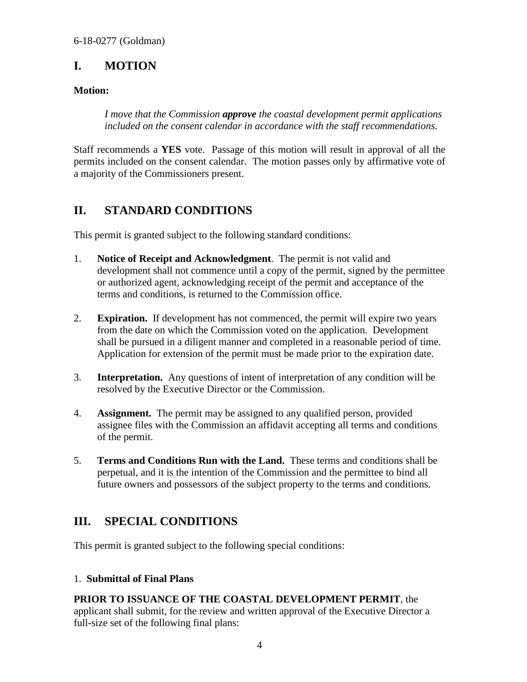## <span id="page-3-0"></span>**I. MOTION**

### **Motion:**

*I move that the Commission approve the coastal development permit applications included on the consent calendar in accordance with the staff recommendations.* 

Staff recommends a **YES** vote. Passage of this motion will result in approval of all the permits included on the consent calendar. The motion passes only by affirmative vote of a majority of the Commissioners present.

### <span id="page-3-1"></span>**II. STANDARD CONDITIONS**

This permit is granted subject to the following standard conditions:

- 1. **Notice of Receipt and Acknowledgment**. The permit is not valid and development shall not commence until a copy of the permit, signed by the permittee or authorized agent, acknowledging receipt of the permit and acceptance of the terms and conditions, is returned to the Commission office.
- 2. **Expiration.** If development has not commenced, the permit will expire two years from the date on which the Commission voted on the application. Development shall be pursued in a diligent manner and completed in a reasonable period of time. Application for extension of the permit must be made prior to the expiration date.
- 3. **Interpretation.** Any questions of intent of interpretation of any condition will be resolved by the Executive Director or the Commission.
- 4. **Assignment.** The permit may be assigned to any qualified person, provided assignee files with the Commission an affidavit accepting all terms and conditions of the permit.
- 5. **Terms and Conditions Run with the Land.** These terms and conditions shall be perpetual, and it is the intention of the Commission and the permittee to bind all future owners and possessors of the subject property to the terms and conditions.

### <span id="page-3-2"></span>**III. SPECIAL CONDITIONS**

This permit is granted subject to the following special conditions:

### 1. **Submittal of Final Plans**

### **PRIOR TO ISSUANCE OF THE COASTAL DEVELOPMENT PERMIT**, the

applicant shall submit, for the review and written approval of the Executive Director a full-size set of the following final plans: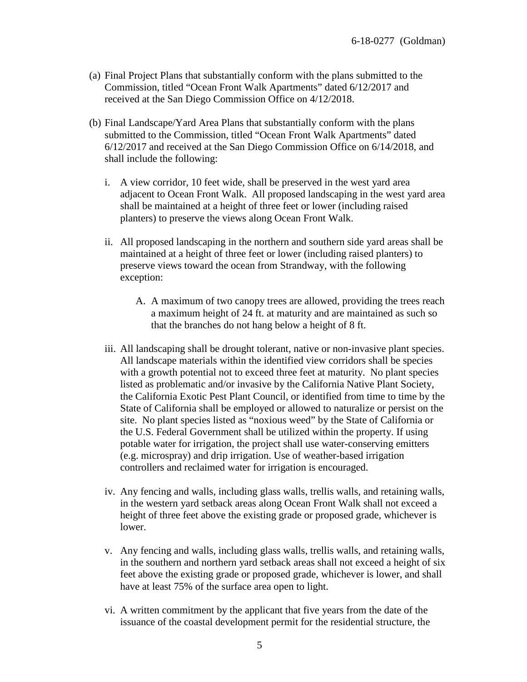- (a) Final Project Plans that substantially conform with the plans submitted to the Commission, titled "Ocean Front Walk Apartments" dated 6/12/2017 and received at the San Diego Commission Office on 4/12/2018.
- (b) Final Landscape/Yard Area Plans that substantially conform with the plans submitted to the Commission, titled "Ocean Front Walk Apartments" dated 6/12/2017 and received at the San Diego Commission Office on 6/14/2018, and shall include the following:
	- i. A view corridor, 10 feet wide, shall be preserved in the west yard area adjacent to Ocean Front Walk. All proposed landscaping in the west yard area shall be maintained at a height of three feet or lower (including raised planters) to preserve the views along Ocean Front Walk.
	- ii. All proposed landscaping in the northern and southern side yard areas shall be maintained at a height of three feet or lower (including raised planters) to preserve views toward the ocean from Strandway, with the following exception:
		- A. A maximum of two canopy trees are allowed, providing the trees reach a maximum height of 24 ft. at maturity and are maintained as such so that the branches do not hang below a height of 8 ft.
	- iii. All landscaping shall be drought tolerant, native or non-invasive plant species. All landscape materials within the identified view corridors shall be species with a growth potential not to exceed three feet at maturity. No plant species listed as problematic and/or invasive by the California Native Plant Society, the California Exotic Pest Plant Council, or identified from time to time by the State of California shall be employed or allowed to naturalize or persist on the site. No plant species listed as "noxious weed" by the State of California or the U.S. Federal Government shall be utilized within the property. If using potable water for irrigation, the project shall use water-conserving emitters (e.g. microspray) and drip irrigation. Use of weather-based irrigation controllers and reclaimed water for irrigation is encouraged.
	- iv. Any fencing and walls, including glass walls, trellis walls, and retaining walls, in the western yard setback areas along Ocean Front Walk shall not exceed a height of three feet above the existing grade or proposed grade, whichever is lower.
	- v. Any fencing and walls, including glass walls, trellis walls, and retaining walls, in the southern and northern yard setback areas shall not exceed a height of six feet above the existing grade or proposed grade, whichever is lower, and shall have at least 75% of the surface area open to light.
	- vi. A written commitment by the applicant that five years from the date of the issuance of the coastal development permit for the residential structure, the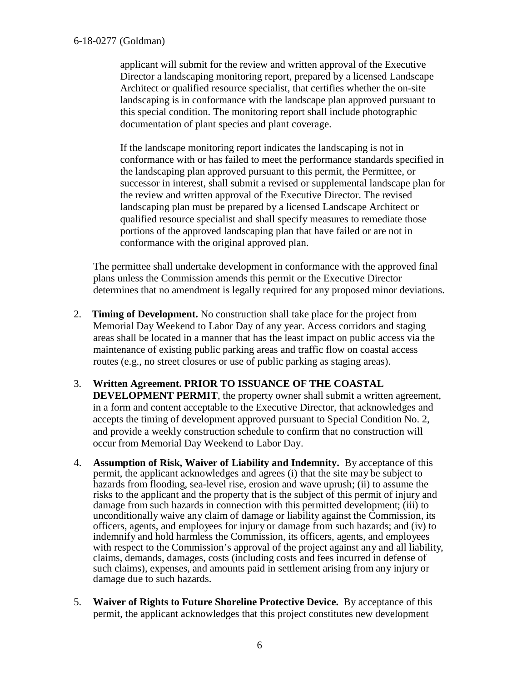applicant will submit for the review and written approval of the Executive Director a landscaping monitoring report, prepared by a licensed Landscape Architect or qualified resource specialist, that certifies whether the on-site landscaping is in conformance with the landscape plan approved pursuant to this special condition. The monitoring report shall include photographic documentation of plant species and plant coverage.

If the landscape monitoring report indicates the landscaping is not in conformance with or has failed to meet the performance standards specified in the landscaping plan approved pursuant to this permit, the Permittee, or successor in interest, shall submit a revised or supplemental landscape plan for the review and written approval of the Executive Director. The revised landscaping plan must be prepared by a licensed Landscape Architect or qualified resource specialist and shall specify measures to remediate those portions of the approved landscaping plan that have failed or are not in conformance with the original approved plan.

The permittee shall undertake development in conformance with the approved final plans unless the Commission amends this permit or the Executive Director determines that no amendment is legally required for any proposed minor deviations.

- 2. **Timing of Development.** No construction shall take place for the project from Memorial Day Weekend to Labor Day of any year. Access corridors and staging areas shall be located in a manner that has the least impact on public access via the maintenance of existing public parking areas and traffic flow on coastal access routes (e.g., no street closures or use of public parking as staging areas).
- 3. **Written Agreement. PRIOR TO ISSUANCE OF THE COASTAL DEVELOPMENT PERMIT**, the property owner shall submit a written agreement, in a form and content acceptable to the Executive Director, that acknowledges and accepts the timing of development approved pursuant to Special Condition No. 2, and provide a weekly construction schedule to confirm that no construction will occur from Memorial Day Weekend to Labor Day.
- 4. **Assumption of Risk, Waiver of Liability and Indemnity.** By acceptance of this permit, the applicant acknowledges and agrees (i) that the site may be subject to hazards from flooding, sea-level rise, erosion and wave uprush; (ii) to assume the risks to the applicant and the property that is the subject of this permit of injury and damage from such hazards in connection with this permitted development; (iii) to unconditionally waive any claim of damage or liability against the Commission, its officers, agents, and employees for injury or damage from such hazards; and (iv) to indemnify and hold harmless the Commission, its officers, agents, and employees with respect to the Commission's approval of the project against any and all liability, claims, demands, damages, costs (including costs and fees incurred in defense of such claims), expenses, and amounts paid in settlement arising from any injury or damage due to such hazards.
- 5. **Waiver of Rights to Future Shoreline Protective Device.** By acceptance of this permit, the applicant acknowledges that this project constitutes new development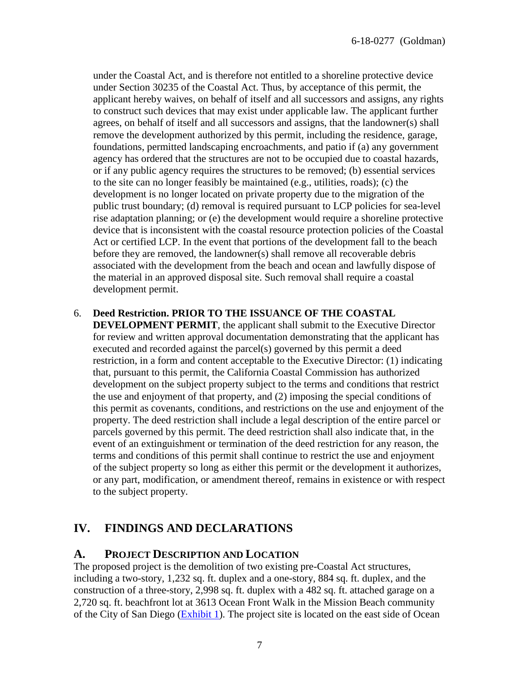under the Coastal Act, and is therefore not entitled to a shoreline protective device under Section 30235 of the Coastal Act. Thus, by acceptance of this permit, the applicant hereby waives, on behalf of itself and all successors and assigns, any rights to construct such devices that may exist under applicable law. The applicant further agrees, on behalf of itself and all successors and assigns, that the landowner(s) shall remove the development authorized by this permit, including the residence, garage, foundations, permitted landscaping encroachments, and patio if (a) any government agency has ordered that the structures are not to be occupied due to coastal hazards, or if any public agency requires the structures to be removed; (b) essential services to the site can no longer feasibly be maintained (e.g., utilities, roads); (c) the development is no longer located on private property due to the migration of the public trust boundary; (d) removal is required pursuant to LCP policies for sea-level rise adaptation planning; or (e) the development would require a shoreline protective device that is inconsistent with the coastal resource protection policies of the Coastal Act or certified LCP. In the event that portions of the development fall to the beach before they are removed, the landowner(s) shall remove all recoverable debris associated with the development from the beach and ocean and lawfully dispose of the material in an approved disposal site. Such removal shall require a coastal development permit.

#### 6. **Deed Restriction. PRIOR TO THE ISSUANCE OF THE COASTAL**

**DEVELOPMENT PERMIT**, the applicant shall submit to the Executive Director for review and written approval documentation demonstrating that the applicant has executed and recorded against the parcel(s) governed by this permit a deed restriction, in a form and content acceptable to the Executive Director: (1) indicating that, pursuant to this permit, the California Coastal Commission has authorized development on the subject property subject to the terms and conditions that restrict the use and enjoyment of that property, and (2) imposing the special conditions of this permit as covenants, conditions, and restrictions on the use and enjoyment of the property. The deed restriction shall include a legal description of the entire parcel or parcels governed by this permit. The deed restriction shall also indicate that, in the event of an extinguishment or termination of the deed restriction for any reason, the terms and conditions of this permit shall continue to restrict the use and enjoyment of the subject property so long as either this permit or the development it authorizes, or any part, modification, or amendment thereof, remains in existence or with respect to the subject property.

### <span id="page-6-0"></span>**IV. FINDINGS AND DECLARATIONS**

#### <span id="page-6-1"></span>**A. PROJECT DESCRIPTION AND LOCATION**

The proposed project is the demolition of two existing pre-Coastal Act structures, including a two-story, 1,232 sq. ft. duplex and a one-story, 884 sq. ft. duplex, and the construction of a three-story, 2,998 sq. ft. duplex with a 482 sq. ft. attached garage on a 2,720 sq. ft. beachfront lot at 3613 Ocean Front Walk in the Mission Beach community of the City of San Diego [\(Exhibit 1\)](https://documents.coastal.ca.gov/reports/2018/8/w7c/w7c-8-2018-exhibits.pdf). The project site is located on the east side of Ocean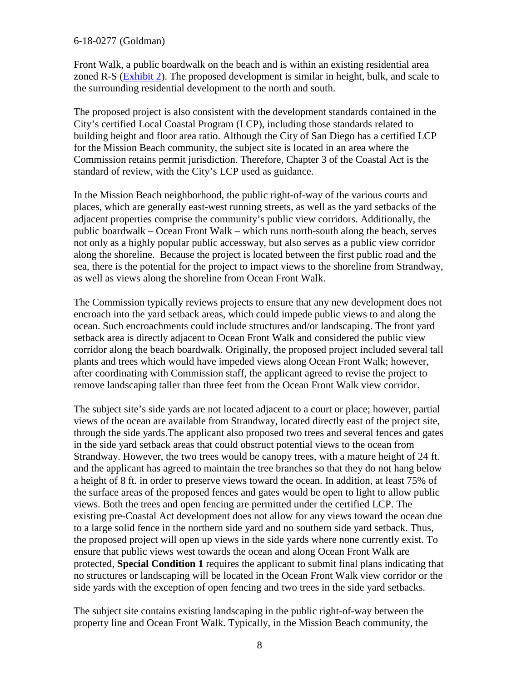Front Walk, a public boardwalk on the beach and is within an existing residential area zoned R-S [\(Exhibit 2\)](https://documents.coastal.ca.gov/reports/2018/8/w7c/w7c-8-2018-exhibits.pdf). The proposed development is similar in height, bulk, and scale to the surrounding residential development to the north and south.

The proposed project is also consistent with the development standards contained in the City's certified Local Coastal Program (LCP), including those standards related to building height and floor area ratio. Although the City of San Diego has a certified LCP for the Mission Beach community, the subject site is located in an area where the Commission retains permit jurisdiction. Therefore, Chapter 3 of the Coastal Act is the standard of review, with the City's LCP used as guidance.

In the Mission Beach neighborhood, the public right-of-way of the various courts and places, which are generally east-west running streets, as well as the yard setbacks of the adjacent properties comprise the community's public view corridors. Additionally, the public boardwalk – Ocean Front Walk – which runs north-south along the beach, serves not only as a highly popular public accessway, but also serves as a public view corridor along the shoreline. Because the project is located between the first public road and the sea, there is the potential for the project to impact views to the shoreline from Strandway, as well as views along the shoreline from Ocean Front Walk.

The Commission typically reviews projects to ensure that any new development does not encroach into the yard setback areas, which could impede public views to and along the ocean. Such encroachments could include structures and/or landscaping. The front yard setback area is directly adjacent to Ocean Front Walk and considered the public view corridor along the beach boardwalk. Originally, the proposed project included several tall plants and trees which would have impeded views along Ocean Front Walk; however, after coordinating with Commission staff, the applicant agreed to revise the project to remove landscaping taller than three feet from the Ocean Front Walk view corridor.

The subject site's side yards are not located adjacent to a court or place; however, partial views of the ocean are available from Strandway, located directly east of the project site, through the side yards.The applicant also proposed two trees and several fences and gates in the side yard setback areas that could obstruct potential views to the ocean from Strandway. However, the two trees would be canopy trees, with a mature height of 24 ft. and the applicant has agreed to maintain the tree branches so that they do not hang below a height of 8 ft. in order to preserve views toward the ocean. In addition, at least 75% of the surface areas of the proposed fences and gates would be open to light to allow public views. Both the trees and open fencing are permitted under the certified LCP. The existing pre-Coastal Act development does not allow for any views toward the ocean due to a large solid fence in the northern side yard and no southern side yard setback. Thus, the proposed project will open up views in the side yards where none currently exist. To ensure that public views west towards the ocean and along Ocean Front Walk are protected, **Special Condition 1** requires the applicant to submit final plans indicating that no structures or landscaping will be located in the Ocean Front Walk view corridor or the side yards with the exception of open fencing and two trees in the side yard setbacks.

The subject site contains existing landscaping in the public right-of-way between the property line and Ocean Front Walk. Typically, in the Mission Beach community, the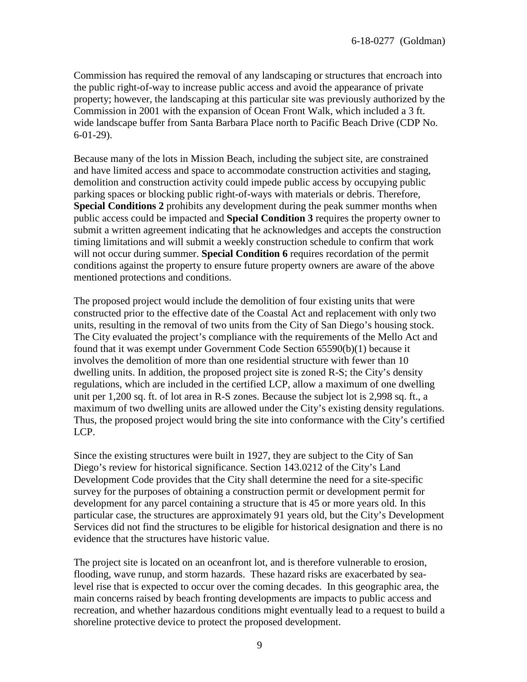Commission has required the removal of any landscaping or structures that encroach into the public right-of-way to increase public access and avoid the appearance of private property; however, the landscaping at this particular site was previously authorized by the Commission in 2001 with the expansion of Ocean Front Walk, which included a 3 ft. wide landscape buffer from Santa Barbara Place north to Pacific Beach Drive (CDP No. 6-01-29).

Because many of the lots in Mission Beach, including the subject site, are constrained and have limited access and space to accommodate construction activities and staging, demolition and construction activity could impede public access by occupying public parking spaces or blocking public right-of-ways with materials or debris. Therefore, **Special Conditions 2** prohibits any development during the peak summer months when public access could be impacted and **Special Condition 3** requires the property owner to submit a written agreement indicating that he acknowledges and accepts the construction timing limitations and will submit a weekly construction schedule to confirm that work will not occur during summer. **Special Condition 6** requires recordation of the permit conditions against the property to ensure future property owners are aware of the above mentioned protections and conditions.

The proposed project would include the demolition of four existing units that were constructed prior to the effective date of the Coastal Act and replacement with only two units, resulting in the removal of two units from the City of San Diego's housing stock. The City evaluated the project's compliance with the requirements of the Mello Act and found that it was exempt under Government Code Section 65590(b)(1) because it involves the demolition of more than one residential structure with fewer than 10 dwelling units. In addition, the proposed project site is zoned R-S; the City's density regulations, which are included in the certified LCP, allow a maximum of one dwelling unit per 1,200 sq. ft. of lot area in R-S zones. Because the subject lot is 2,998 sq. ft., a maximum of two dwelling units are allowed under the City's existing density regulations. Thus, the proposed project would bring the site into conformance with the City's certified LCP.

Since the existing structures were built in 1927, they are subject to the City of San Diego's review for historical significance. Section 143.0212 of the City's Land Development Code provides that the City shall determine the need for a site-specific survey for the purposes of obtaining a construction permit or development permit for development for any parcel containing a structure that is 45 or more years old. In this particular case, the structures are approximately 91 years old, but the City's Development Services did not find the structures to be eligible for historical designation and there is no evidence that the structures have historic value.

The project site is located on an oceanfront lot, and is therefore vulnerable to erosion, flooding, wave runup, and storm hazards. These hazard risks are exacerbated by sealevel rise that is expected to occur over the coming decades. In this geographic area, the main concerns raised by beach fronting developments are impacts to public access and recreation, and whether hazardous conditions might eventually lead to a request to build a shoreline protective device to protect the proposed development.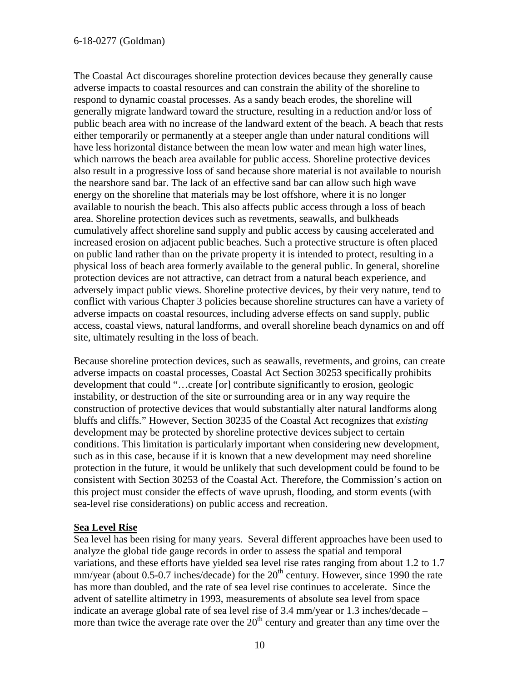The Coastal Act discourages shoreline protection devices because they generally cause adverse impacts to coastal resources and can constrain the ability of the shoreline to respond to dynamic coastal processes. As a sandy beach erodes, the shoreline will generally migrate landward toward the structure, resulting in a reduction and/or loss of public beach area with no increase of the landward extent of the beach. A beach that rests either temporarily or permanently at a steeper angle than under natural conditions will have less horizontal distance between the mean low water and mean high water lines, which narrows the beach area available for public access. Shoreline protective devices also result in a progressive loss of sand because shore material is not available to nourish the nearshore sand bar. The lack of an effective sand bar can allow such high wave energy on the shoreline that materials may be lost offshore, where it is no longer available to nourish the beach. This also affects public access through a loss of beach area. Shoreline protection devices such as revetments, seawalls, and bulkheads cumulatively affect shoreline sand supply and public access by causing accelerated and increased erosion on adjacent public beaches. Such a protective structure is often placed on public land rather than on the private property it is intended to protect, resulting in a physical loss of beach area formerly available to the general public. In general, shoreline protection devices are not attractive, can detract from a natural beach experience, and adversely impact public views. Shoreline protective devices, by their very nature, tend to conflict with various Chapter 3 policies because shoreline structures can have a variety of adverse impacts on coastal resources, including adverse effects on sand supply, public access, coastal views, natural landforms, and overall shoreline beach dynamics on and off site, ultimately resulting in the loss of beach.

Because shoreline protection devices, such as seawalls, revetments, and groins, can create adverse impacts on coastal processes, Coastal Act Section 30253 specifically prohibits development that could "…create [or] contribute significantly to erosion, geologic instability, or destruction of the site or surrounding area or in any way require the construction of protective devices that would substantially alter natural landforms along bluffs and cliffs." However, Section 30235 of the Coastal Act recognizes that *existing*  development may be protected by shoreline protective devices subject to certain conditions. This limitation is particularly important when considering new development, such as in this case, because if it is known that a new development may need shoreline protection in the future, it would be unlikely that such development could be found to be consistent with Section 30253 of the Coastal Act. Therefore, the Commission's action on this project must consider the effects of wave uprush, flooding, and storm events (with sea-level rise considerations) on public access and recreation.

#### **Sea Level Rise**

Sea level has been rising for many years. Several different approaches have been used to analyze the global tide gauge records in order to assess the spatial and temporal variations, and these efforts have yielded sea level rise rates ranging from about 1.2 to 1.7 mm/year (about  $0.5$ -0.7 inches/decade) for the  $20<sup>th</sup>$  century. However, since 1990 the rate has more than doubled, and the rate of sea level rise continues to accelerate. Since the advent of satellite altimetry in 1993, measurements of absolute sea level from space indicate an average global rate of sea level rise of 3.4 mm/year or 1.3 inches/decade – more than twice the average rate over the  $20<sup>th</sup>$  century and greater than any time over the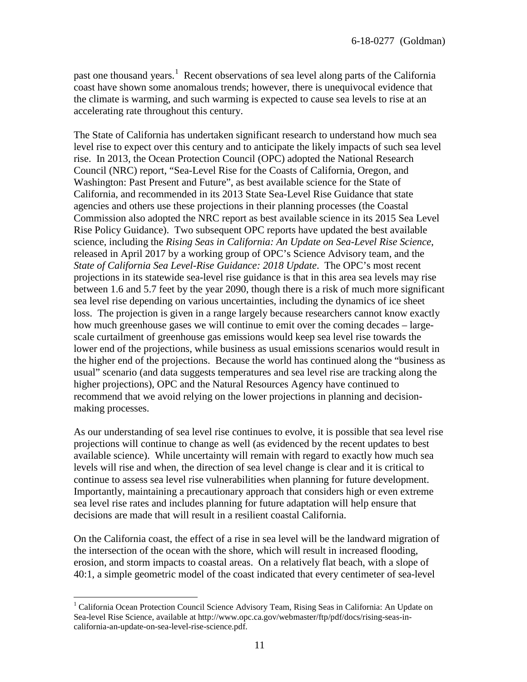past one thousand years.<sup>[1](#page-10-0)</sup> Recent observations of sea level along parts of the California coast have shown some anomalous trends; however, there is unequivocal evidence that the climate is warming, and such warming is expected to cause sea levels to rise at an accelerating rate throughout this century.

The State of California has undertaken significant research to understand how much sea level rise to expect over this century and to anticipate the likely impacts of such sea level rise. In 2013, the Ocean Protection Council (OPC) adopted the National Research Council (NRC) report, "Sea-Level Rise for the Coasts of California, Oregon, and Washington: Past Present and Future", as best available science for the State of California, and recommended in its 2013 State Sea-Level Rise Guidance that state agencies and others use these projections in their planning processes (the Coastal Commission also adopted the NRC report as best available science in its 2015 Sea Level Rise Policy Guidance). Two subsequent OPC reports have updated the best available science, including the *Rising Seas in California: An Update on Sea-Level Rise Science*, released in April 2017 by a working group of OPC's Science Advisory team, and the *State of California Sea Level-Rise Guidance: 2018 Update*. The OPC's most recent projections in its statewide sea-level rise guidance is that in this area sea levels may rise between 1.6 and 5.7 feet by the year 2090, though there is a risk of much more significant sea level rise depending on various uncertainties, including the dynamics of ice sheet loss. The projection is given in a range largely because researchers cannot know exactly how much greenhouse gases we will continue to emit over the coming decades – largescale curtailment of greenhouse gas emissions would keep sea level rise towards the lower end of the projections, while business as usual emissions scenarios would result in the higher end of the projections. Because the world has continued along the "business as usual" scenario (and data suggests temperatures and sea level rise are tracking along the higher projections), OPC and the Natural Resources Agency have continued to recommend that we avoid relying on the lower projections in planning and decisionmaking processes.

As our understanding of sea level rise continues to evolve, it is possible that sea level rise projections will continue to change as well (as evidenced by the recent updates to best available science). While uncertainty will remain with regard to exactly how much sea levels will rise and when, the direction of sea level change is clear and it is critical to continue to assess sea level rise vulnerabilities when planning for future development. Importantly, maintaining a precautionary approach that considers high or even extreme sea level rise rates and includes planning for future adaptation will help ensure that decisions are made that will result in a resilient coastal California.

On the California coast, the effect of a rise in sea level will be the landward migration of the intersection of the ocean with the shore, which will result in increased flooding, erosion, and storm impacts to coastal areas. On a relatively flat beach, with a slope of 40:1, a simple geometric model of the coast indicated that every centimeter of sea-level

 $\overline{a}$ 

<span id="page-10-0"></span><sup>&</sup>lt;sup>1</sup> California Ocean Protection Council Science Advisory Team, Rising Seas in California: An Update on Sea-level Rise Science, available at http://www.opc.ca.gov/webmaster/ftp/pdf/docs/rising-seas-incalifornia-an-update-on-sea-level-rise-science.pdf.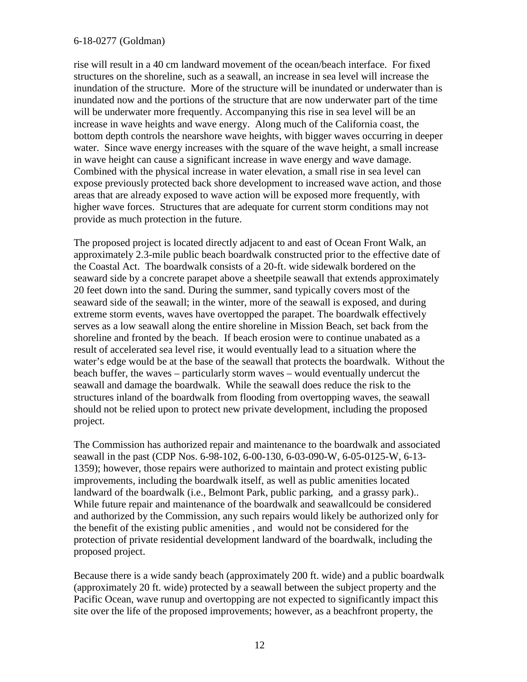rise will result in a 40 cm landward movement of the ocean/beach interface. For fixed structures on the shoreline, such as a seawall, an increase in sea level will increase the inundation of the structure. More of the structure will be inundated or underwater than is inundated now and the portions of the structure that are now underwater part of the time will be underwater more frequently. Accompanying this rise in sea level will be an increase in wave heights and wave energy. Along much of the California coast, the bottom depth controls the nearshore wave heights, with bigger waves occurring in deeper water. Since wave energy increases with the square of the wave height, a small increase in wave height can cause a significant increase in wave energy and wave damage. Combined with the physical increase in water elevation, a small rise in sea level can expose previously protected back shore development to increased wave action, and those areas that are already exposed to wave action will be exposed more frequently, with higher wave forces. Structures that are adequate for current storm conditions may not provide as much protection in the future.

The proposed project is located directly adjacent to and east of Ocean Front Walk, an approximately 2.3-mile public beach boardwalk constructed prior to the effective date of the Coastal Act. The boardwalk consists of a 20-ft. wide sidewalk bordered on the seaward side by a concrete parapet above a sheetpile seawall that extends approximately 20 feet down into the sand. During the summer, sand typically covers most of the seaward side of the seawall; in the winter, more of the seawall is exposed, and during extreme storm events, waves have overtopped the parapet. The boardwalk effectively serves as a low seawall along the entire shoreline in Mission Beach, set back from the shoreline and fronted by the beach. If beach erosion were to continue unabated as a result of accelerated sea level rise, it would eventually lead to a situation where the water's edge would be at the base of the seawall that protects the boardwalk. Without the beach buffer, the waves – particularly storm waves – would eventually undercut the seawall and damage the boardwalk. While the seawall does reduce the risk to the structures inland of the boardwalk from flooding from overtopping waves, the seawall should not be relied upon to protect new private development, including the proposed project.

The Commission has authorized repair and maintenance to the boardwalk and associated seawall in the past (CDP Nos. 6-98-102, 6-00-130, 6-03-090-W, 6-05-0125-W, 6-13- 1359); however, those repairs were authorized to maintain and protect existing public improvements, including the boardwalk itself, as well as public amenities located landward of the boardwalk (i.e., Belmont Park, public parking, and a grassy park).. While future repair and maintenance of the boardwalk and seawallcould be considered and authorized by the Commission, any such repairs would likely be authorized only for the benefit of the existing public amenities , and would not be considered for the protection of private residential development landward of the boardwalk, including the proposed project.

Because there is a wide sandy beach (approximately 200 ft. wide) and a public boardwalk (approximately 20 ft. wide) protected by a seawall between the subject property and the Pacific Ocean, wave runup and overtopping are not expected to significantly impact this site over the life of the proposed improvements; however, as a beachfront property, the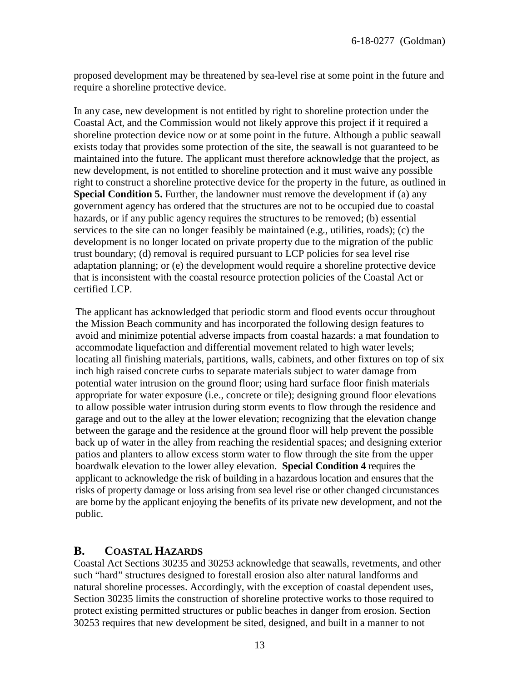proposed development may be threatened by sea-level rise at some point in the future and require a shoreline protective device.

In any case, new development is not entitled by right to shoreline protection under the Coastal Act, and the Commission would not likely approve this project if it required a shoreline protection device now or at some point in the future. Although a public seawall exists today that provides some protection of the site, the seawall is not guaranteed to be maintained into the future. The applicant must therefore acknowledge that the project, as new development, is not entitled to shoreline protection and it must waive any possible right to construct a shoreline protective device for the property in the future, as outlined in **Special Condition 5.** Further, the landowner must remove the development if (a) any government agency has ordered that the structures are not to be occupied due to coastal hazards, or if any public agency requires the structures to be removed; (b) essential services to the site can no longer feasibly be maintained (e.g., utilities, roads); (c) the development is no longer located on private property due to the migration of the public trust boundary; (d) removal is required pursuant to LCP policies for sea level rise adaptation planning; or (e) the development would require a shoreline protective device that is inconsistent with the coastal resource protection policies of the Coastal Act or certified LCP.

The applicant has acknowledged that periodic storm and flood events occur throughout the Mission Beach community and has incorporated the following design features to avoid and minimize potential adverse impacts from coastal hazards: a mat foundation to accommodate liquefaction and differential movement related to high water levels; locating all finishing materials, partitions, walls, cabinets, and other fixtures on top of six inch high raised concrete curbs to separate materials subject to water damage from potential water intrusion on the ground floor; using hard surface floor finish materials appropriate for water exposure (i.e., concrete or tile); designing ground floor elevations to allow possible water intrusion during storm events to flow through the residence and garage and out to the alley at the lower elevation; recognizing that the elevation change between the garage and the residence at the ground floor will help prevent the possible back up of water in the alley from reaching the residential spaces; and designing exterior patios and planters to allow excess storm water to flow through the site from the upper boardwalk elevation to the lower alley elevation. **Special Condition 4** requires the applicant to acknowledge the risk of building in a hazardous location and ensures that the risks of property damage or loss arising from sea level rise or other changed circumstances are borne by the applicant enjoying the benefits of its private new development, and not the public.

### <span id="page-12-0"></span>**B. COASTAL HAZARDS**

Coastal Act Sections 30235 and 30253 acknowledge that seawalls, revetments, and other such "hard" structures designed to forestall erosion also alter natural landforms and natural shoreline processes. Accordingly, with the exception of coastal dependent uses, Section 30235 limits the construction of shoreline protective works to those required to protect existing permitted structures or public beaches in danger from erosion. Section 30253 requires that new development be sited, designed, and built in a manner to not